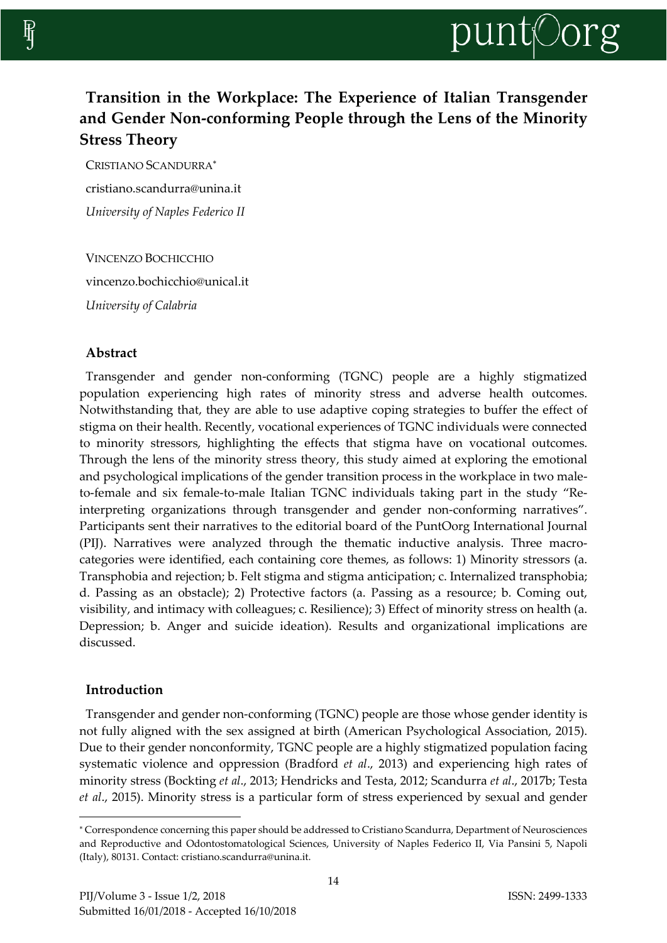

# **Transition in the Workplace: The Experience of Italian Transgender and Gender Non-conforming People through the Lens of the Minority Stress Theory**

CRISTIANO SCANDURRA cristiano.scandurra@unina.it *University of Naples Federico II* 

VINCENZO BOCHICCHIO vincenzo.bochicchio@unical.it *University of Calabria* 

# **Abstract**

Transgender and gender non-conforming (TGNC) people are a highly stigmatized population experiencing high rates of minority stress and adverse health outcomes. Notwithstanding that, they are able to use adaptive coping strategies to buffer the effect of stigma on their health. Recently, vocational experiences of TGNC individuals were connected to minority stressors, highlighting the effects that stigma have on vocational outcomes. Through the lens of the minority stress theory, this study aimed at exploring the emotional and psychological implications of the gender transition process in the workplace in two maleto-female and six female-to-male Italian TGNC individuals taking part in the study "Reinterpreting organizations through transgender and gender non-conforming narratives". Participants sent their narratives to the editorial board of the PuntOorg International Journal (PIJ). Narratives were analyzed through the thematic inductive analysis. Three macrocategories were identified, each containing core themes, as follows: 1) Minority stressors (a. Transphobia and rejection; b. Felt stigma and stigma anticipation; c. Internalized transphobia; d. Passing as an obstacle); 2) Protective factors (a. Passing as a resource; b. Coming out, visibility, and intimacy with colleagues; c. Resilience); 3) Effect of minority stress on health (a. Depression; b. Anger and suicide ideation). Results and organizational implications are discussed.

# **Introduction**

 $\overline{a}$ 

Transgender and gender non-conforming (TGNC) people are those whose gender identity is not fully aligned with the sex assigned at birth (American Psychological Association, 2015). Due to their gender nonconformity, TGNC people are a highly stigmatized population facing systematic violence and oppression (Bradford *et al*., 2013) and experiencing high rates of minority stress (Bockting *et al*., 2013; Hendricks and Testa, 2012; Scandurra *et al*., 2017b; Testa *et al*., 2015). Minority stress is a particular form of stress experienced by sexual and gender

 Correspondence concerning this paper should be addressed to Cristiano Scandurra, Department of Neurosciences and Reproductive and Odontostomatological Sciences, University of Naples Federico II, Via Pansini 5, Napoli (Italy), 80131. Contact: cristiano.scandurra@unina.it.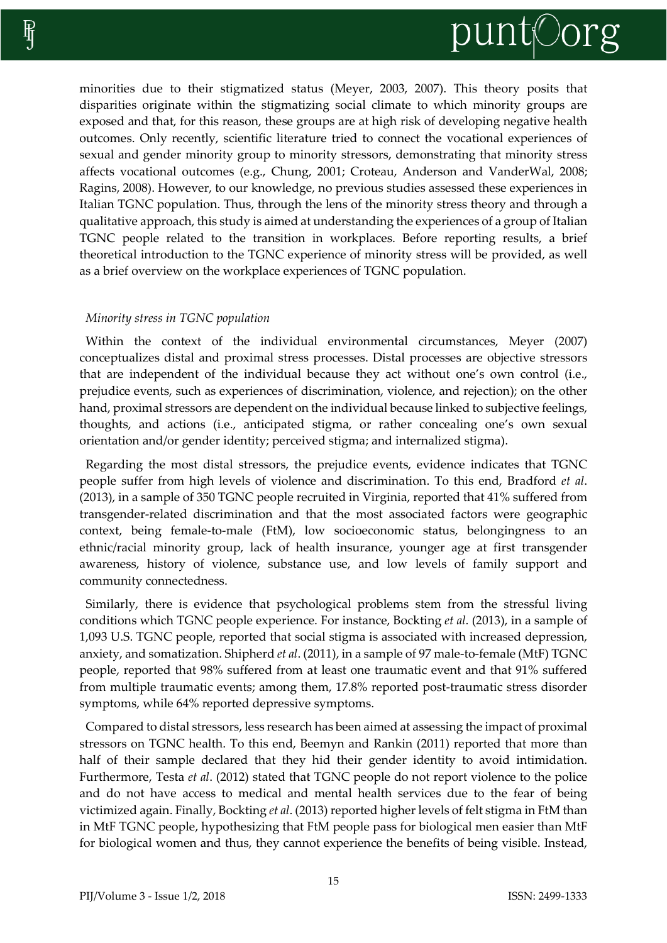

minorities due to their stigmatized status (Meyer, 2003, 2007). This theory posits that disparities originate within the stigmatizing social climate to which minority groups are exposed and that, for this reason, these groups are at high risk of developing negative health outcomes. Only recently, scientific literature tried to connect the vocational experiences of sexual and gender minority group to minority stressors, demonstrating that minority stress affects vocational outcomes (e.g., Chung, 2001; Croteau, Anderson and VanderWal, 2008; Ragins, 2008). However, to our knowledge, no previous studies assessed these experiences in Italian TGNC population. Thus, through the lens of the minority stress theory and through a qualitative approach, this study is aimed at understanding the experiences of a group of Italian TGNC people related to the transition in workplaces. Before reporting results, a brief theoretical introduction to the TGNC experience of minority stress will be provided, as well as a brief overview on the workplace experiences of TGNC population.

#### *Minority stress in TGNC population*

Within the context of the individual environmental circumstances, Meyer (2007) conceptualizes distal and proximal stress processes. Distal processes are objective stressors that are independent of the individual because they act without one's own control (i.e., prejudice events, such as experiences of discrimination, violence, and rejection); on the other hand, proximal stressors are dependent on the individual because linked to subjective feelings, thoughts, and actions (i.e., anticipated stigma, or rather concealing one's own sexual orientation and/or gender identity; perceived stigma; and internalized stigma).

Regarding the most distal stressors, the prejudice events, evidence indicates that TGNC people suffer from high levels of violence and discrimination. To this end, Bradford *et al*. (2013), in a sample of 350 TGNC people recruited in Virginia, reported that 41% suffered from transgender-related discrimination and that the most associated factors were geographic context, being female-to-male (FtM), low socioeconomic status, belongingness to an ethnic/racial minority group, lack of health insurance, younger age at first transgender awareness, history of violence, substance use, and low levels of family support and community connectedness.

Similarly, there is evidence that psychological problems stem from the stressful living conditions which TGNC people experience. For instance, Bockting *et al*. (2013), in a sample of 1,093 U.S. TGNC people, reported that social stigma is associated with increased depression, anxiety, and somatization. Shipherd *et al*. (2011), in a sample of 97 male-to-female (MtF) TGNC people, reported that 98% suffered from at least one traumatic event and that 91% suffered from multiple traumatic events; among them, 17.8% reported post-traumatic stress disorder symptoms, while 64% reported depressive symptoms.

Compared to distal stressors, less research has been aimed at assessing the impact of proximal stressors on TGNC health. To this end, Beemyn and Rankin (2011) reported that more than half of their sample declared that they hid their gender identity to avoid intimidation. Furthermore, Testa *et al*. (2012) stated that TGNC people do not report violence to the police and do not have access to medical and mental health services due to the fear of being victimized again. Finally, Bockting *et al*. (2013) reported higher levels of felt stigma in FtM than in MtF TGNC people, hypothesizing that FtM people pass for biological men easier than MtF for biological women and thus, they cannot experience the benefits of being visible. Instead,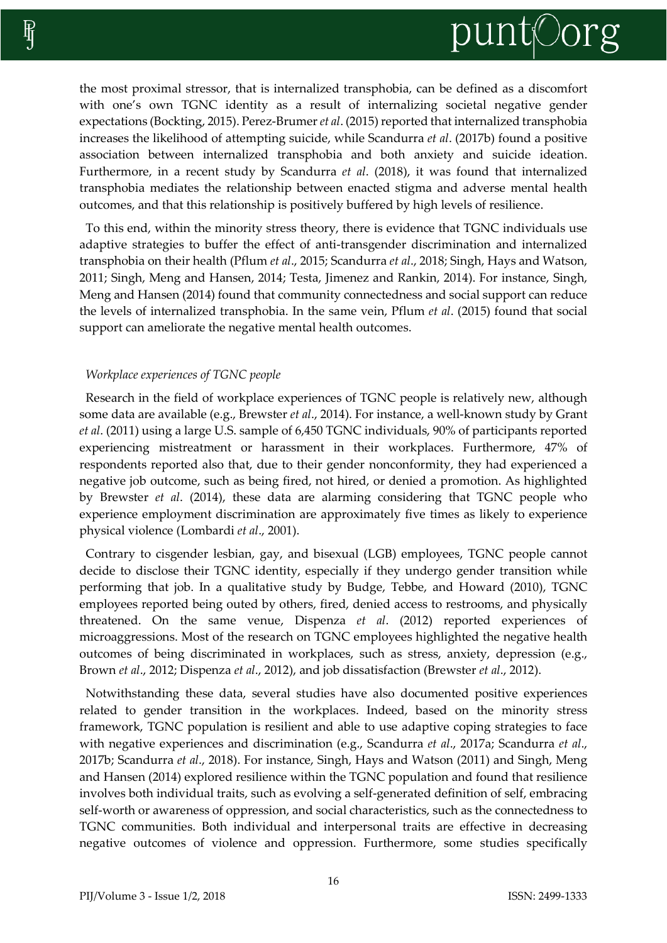

the most proximal stressor, that is internalized transphobia, can be defined as a discomfort with one's own TGNC identity as a result of internalizing societal negative gender expectations (Bockting, 2015). Perez-Brumer *et al*. (2015) reported that internalized transphobia increases the likelihood of attempting suicide, while Scandurra *et al*. (2017b) found a positive association between internalized transphobia and both anxiety and suicide ideation. Furthermore, in a recent study by Scandurra *et al*. (2018), it was found that internalized transphobia mediates the relationship between enacted stigma and adverse mental health outcomes, and that this relationship is positively buffered by high levels of resilience.

To this end, within the minority stress theory, there is evidence that TGNC individuals use adaptive strategies to buffer the effect of anti-transgender discrimination and internalized transphobia on their health (Pflum *et al*., 2015; Scandurra *et al*., 2018; Singh, Hays and Watson, 2011; Singh, Meng and Hansen, 2014; Testa, Jimenez and Rankin, 2014). For instance, Singh, Meng and Hansen (2014) found that community connectedness and social support can reduce the levels of internalized transphobia. In the same vein, Pflum *et al*. (2015) found that social support can ameliorate the negative mental health outcomes.

#### *Workplace experiences of TGNC people*

Research in the field of workplace experiences of TGNC people is relatively new, although some data are available (e.g., Brewster *et al*., 2014). For instance, a well-known study by Grant *et al*. (2011) using a large U.S. sample of 6,450 TGNC individuals, 90% of participants reported experiencing mistreatment or harassment in their workplaces. Furthermore, 47% of respondents reported also that, due to their gender nonconformity, they had experienced a negative job outcome, such as being fired, not hired, or denied a promotion. As highlighted by Brewster *et al*. (2014), these data are alarming considering that TGNC people who experience employment discrimination are approximately five times as likely to experience physical violence (Lombardi *et al*., 2001).

Contrary to cisgender lesbian, gay, and bisexual (LGB) employees, TGNC people cannot decide to disclose their TGNC identity, especially if they undergo gender transition while performing that job. In a qualitative study by Budge, Tebbe, and Howard (2010), TGNC employees reported being outed by others, fired, denied access to restrooms, and physically threatened. On the same venue, Dispenza *et al*. (2012) reported experiences of microaggressions. Most of the research on TGNC employees highlighted the negative health outcomes of being discriminated in workplaces, such as stress, anxiety, depression (e.g., Brown *et al*., 2012; Dispenza *et al*., 2012), and job dissatisfaction (Brewster *et al*., 2012).

Notwithstanding these data, several studies have also documented positive experiences related to gender transition in the workplaces. Indeed, based on the minority stress framework, TGNC population is resilient and able to use adaptive coping strategies to face with negative experiences and discrimination (e.g., Scandurra *et al*., 2017a; Scandurra *et al*., 2017b; Scandurra *et al*., 2018). For instance, Singh, Hays and Watson (2011) and Singh, Meng and Hansen (2014) explored resilience within the TGNC population and found that resilience involves both individual traits, such as evolving a self-generated definition of self, embracing self-worth or awareness of oppression, and social characteristics, such as the connectedness to TGNC communities. Both individual and interpersonal traits are effective in decreasing negative outcomes of violence and oppression. Furthermore, some studies specifically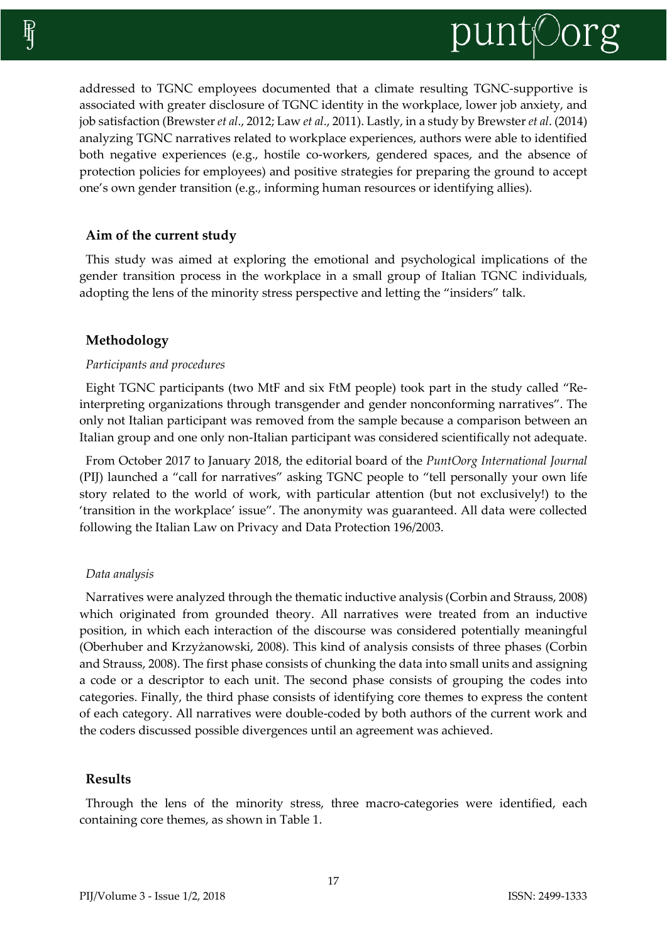

addressed to TGNC employees documented that a climate resulting TGNC-supportive is associated with greater disclosure of TGNC identity in the workplace, lower job anxiety, and job satisfaction (Brewster *et al*., 2012; Law *et al*., 2011). Lastly, in a study by Brewster *et al*. (2014) analyzing TGNC narratives related to workplace experiences, authors were able to identified both negative experiences (e.g., hostile co-workers, gendered spaces, and the absence of protection policies for employees) and positive strategies for preparing the ground to accept one's own gender transition (e.g., informing human resources or identifying allies).

# **Aim of the current study**

This study was aimed at exploring the emotional and psychological implications of the gender transition process in the workplace in a small group of Italian TGNC individuals, adopting the lens of the minority stress perspective and letting the "insiders" talk.

#### **Methodology**

#### *Participants and procedures*

Eight TGNC participants (two MtF and six FtM people) took part in the study called "Reinterpreting organizations through transgender and gender nonconforming narratives". The only not Italian participant was removed from the sample because a comparison between an Italian group and one only non-Italian participant was considered scientifically not adequate.

From October 2017 to January 2018, the editorial board of the *PuntOorg International Journal* (PIJ) launched a "call for narratives" asking TGNC people to "tell personally your own life story related to the world of work, with particular attention (but not exclusively!) to the 'transition in the workplace' issue". The anonymity was guaranteed. All data were collected following the Italian Law on Privacy and Data Protection 196/2003.

#### *Data analysis*

Narratives were analyzed through the thematic inductive analysis (Corbin and Strauss, 2008) which originated from grounded theory. All narratives were treated from an inductive position, in which each interaction of the discourse was considered potentially meaningful (Oberhuber and Krzyżanowski, 2008). This kind of analysis consists of three phases (Corbin and Strauss, 2008). The first phase consists of chunking the data into small units and assigning a code or a descriptor to each unit. The second phase consists of grouping the codes into categories. Finally, the third phase consists of identifying core themes to express the content of each category. All narratives were double-coded by both authors of the current work and the coders discussed possible divergences until an agreement was achieved.

#### **Results**

Through the lens of the minority stress, three macro-categories were identified, each containing core themes, as shown in Table 1.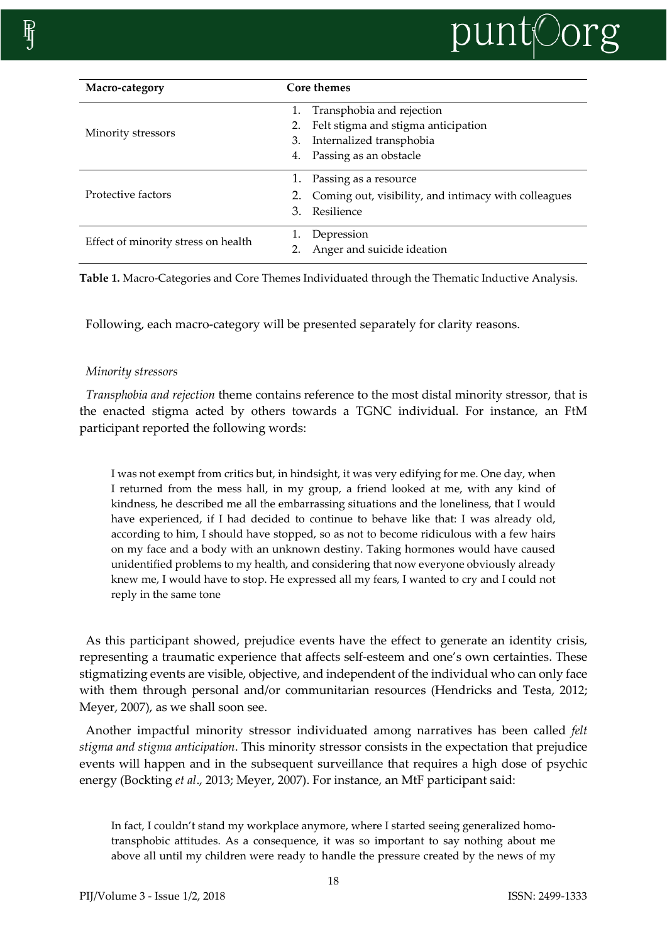

| Macro-category                      | Core themes |                                                      |
|-------------------------------------|-------------|------------------------------------------------------|
| Minority stressors                  |             | Transphobia and rejection                            |
|                                     |             | Felt stigma and stigma anticipation                  |
|                                     | 3.          | Internalized transphobia                             |
|                                     | 4.          | Passing as an obstacle                               |
| Protective factors                  |             | Passing as a resource                                |
|                                     |             | Coming out, visibility, and intimacy with colleagues |
|                                     | 3.          | Resilience                                           |
| Effect of minority stress on health |             | Depression                                           |
|                                     |             | Anger and suicide ideation                           |

**Table 1.** Macro-Categories and Core Themes Individuated through the Thematic Inductive Analysis.

Following, each macro-category will be presented separately for clarity reasons.

# *Minority stressors*

*Transphobia and rejection* theme contains reference to the most distal minority stressor, that is the enacted stigma acted by others towards a TGNC individual. For instance, an FtM participant reported the following words:

I was not exempt from critics but, in hindsight, it was very edifying for me. One day, when I returned from the mess hall, in my group, a friend looked at me, with any kind of kindness, he described me all the embarrassing situations and the loneliness, that I would have experienced, if I had decided to continue to behave like that: I was already old, according to him, I should have stopped, so as not to become ridiculous with a few hairs on my face and a body with an unknown destiny. Taking hormones would have caused unidentified problems to my health, and considering that now everyone obviously already knew me, I would have to stop. He expressed all my fears, I wanted to cry and I could not reply in the same tone

As this participant showed, prejudice events have the effect to generate an identity crisis, representing a traumatic experience that affects self-esteem and one's own certainties. These stigmatizing events are visible, objective, and independent of the individual who can only face with them through personal and/or communitarian resources (Hendricks and Testa, 2012; Meyer, 2007), as we shall soon see.

Another impactful minority stressor individuated among narratives has been called *felt stigma and stigma anticipation*. This minority stressor consists in the expectation that prejudice events will happen and in the subsequent surveillance that requires a high dose of psychic energy (Bockting *et al*., 2013; Meyer, 2007). For instance, an MtF participant said:

In fact, I couldn't stand my workplace anymore, where I started seeing generalized homotransphobic attitudes. As a consequence, it was so important to say nothing about me above all until my children were ready to handle the pressure created by the news of my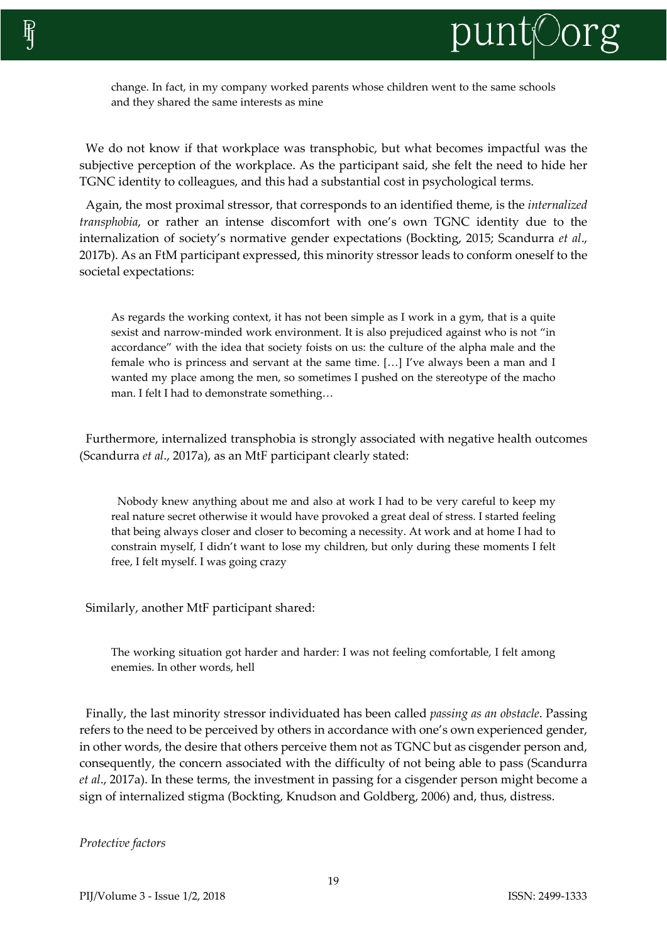

change. In fact, in my company worked parents whose children went to the same schools and they shared the same interests as mine

We do not know if that workplace was transphobic, but what becomes impactful was the subjective perception of the workplace. As the participant said, she felt the need to hide her TGNC identity to colleagues, and this had a substantial cost in psychological terms.

Again, the most proximal stressor, that corresponds to an identified theme, is the *internalized transphobia*, or rather an intense discomfort with one's own TGNC identity due to the internalization of society's normative gender expectations (Bockting, 2015; Scandurra *et al*., 2017b). As an FtM participant expressed, this minority stressor leads to conform oneself to the societal expectations:

As regards the working context, it has not been simple as I work in a gym, that is a quite sexist and narrow-minded work environment. It is also prejudiced against who is not "in accordance" with the idea that society foists on us: the culture of the alpha male and the female who is princess and servant at the same time. […] I've always been a man and I wanted my place among the men, so sometimes I pushed on the stereotype of the macho man. I felt I had to demonstrate something…

Furthermore, internalized transphobia is strongly associated with negative health outcomes (Scandurra *et al*., 2017a), as an MtF participant clearly stated:

Nobody knew anything about me and also at work I had to be very careful to keep my real nature secret otherwise it would have provoked a great deal of stress. I started feeling that being always closer and closer to becoming a necessity. At work and at home I had to constrain myself, I didn't want to lose my children, but only during these moments I felt free, I felt myself. I was going crazy

Similarly, another MtF participant shared:

The working situation got harder and harder: I was not feeling comfortable, I felt among enemies. In other words, hell

Finally, the last minority stressor individuated has been called *passing as an obstacle*. Passing refers to the need to be perceived by others in accordance with one's own experienced gender, in other words, the desire that others perceive them not as TGNC but as cisgender person and, consequently, the concern associated with the difficulty of not being able to pass (Scandurra *et al*., 2017a). In these terms, the investment in passing for a cisgender person might become a sign of internalized stigma (Bockting, Knudson and Goldberg, 2006) and, thus, distress.

*Protective factors*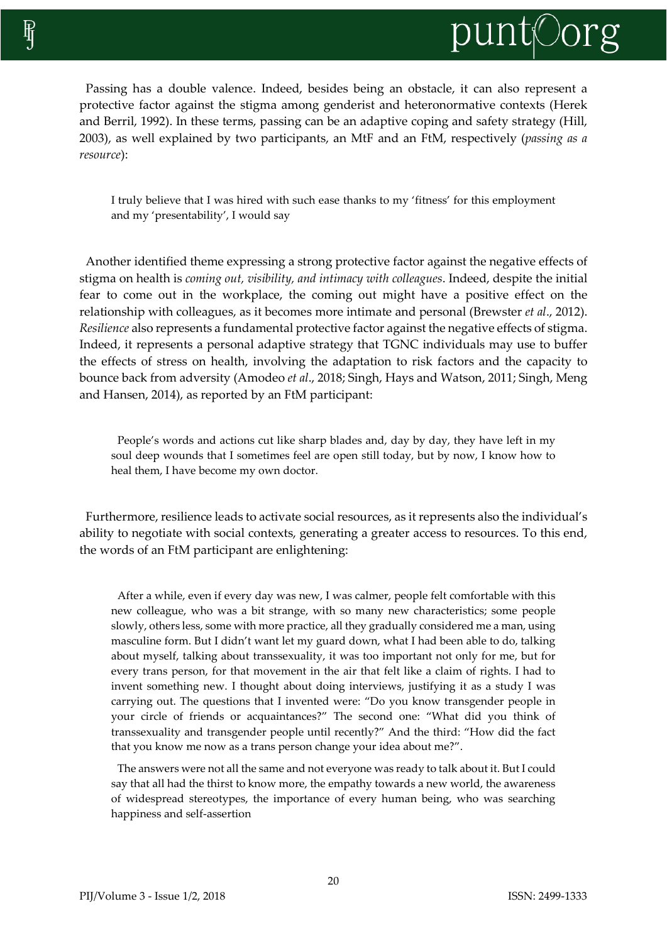

Passing has a double valence. Indeed, besides being an obstacle, it can also represent a protective factor against the stigma among genderist and heteronormative contexts (Herek and Berril, 1992). In these terms, passing can be an adaptive coping and safety strategy (Hill, 2003), as well explained by two participants, an MtF and an FtM, respectively (*passing as a resource*):

I truly believe that I was hired with such ease thanks to my 'fitness' for this employment and my 'presentability', I would say

Another identified theme expressing a strong protective factor against the negative effects of stigma on health is *coming out, visibility, and intimacy with colleagues*. Indeed, despite the initial fear to come out in the workplace, the coming out might have a positive effect on the relationship with colleagues, as it becomes more intimate and personal (Brewster *et al*., 2012). *Resilience* also represents a fundamental protective factor against the negative effects of stigma. Indeed, it represents a personal adaptive strategy that TGNC individuals may use to buffer the effects of stress on health, involving the adaptation to risk factors and the capacity to bounce back from adversity (Amodeo *et al*., 2018; Singh, Hays and Watson, 2011; Singh, Meng and Hansen, 2014), as reported by an FtM participant:

People's words and actions cut like sharp blades and, day by day, they have left in my soul deep wounds that I sometimes feel are open still today, but by now, I know how to heal them, I have become my own doctor.

Furthermore, resilience leads to activate social resources, as it represents also the individual's ability to negotiate with social contexts, generating a greater access to resources. To this end, the words of an FtM participant are enlightening:

After a while, even if every day was new, I was calmer, people felt comfortable with this new colleague, who was a bit strange, with so many new characteristics; some people slowly, others less, some with more practice, all they gradually considered me a man, using masculine form. But I didn't want let my guard down, what I had been able to do, talking about myself, talking about transsexuality, it was too important not only for me, but for every trans person, for that movement in the air that felt like a claim of rights. I had to invent something new. I thought about doing interviews, justifying it as a study I was carrying out. The questions that I invented were: "Do you know transgender people in your circle of friends or acquaintances?" The second one: "What did you think of transsexuality and transgender people until recently?" And the third: "How did the fact that you know me now as a trans person change your idea about me?".

The answers were not all the same and not everyone was ready to talk about it. But I could say that all had the thirst to know more, the empathy towards a new world, the awareness of widespread stereotypes, the importance of every human being, who was searching happiness and self-assertion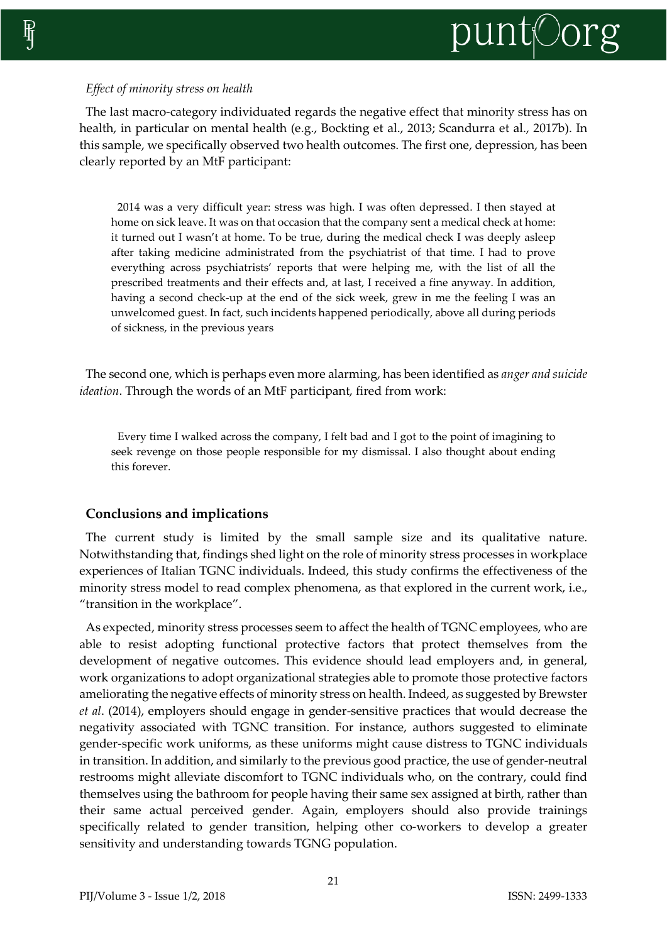# punt©org

# *Effect of minority stress on health*

The last macro-category individuated regards the negative effect that minority stress has on health, in particular on mental health (e.g., Bockting et al., 2013; Scandurra et al., 2017b). In this sample, we specifically observed two health outcomes. The first one, depression, has been clearly reported by an MtF participant:

2014 was a very difficult year: stress was high. I was often depressed. I then stayed at home on sick leave. It was on that occasion that the company sent a medical check at home: it turned out I wasn't at home. To be true, during the medical check I was deeply asleep after taking medicine administrated from the psychiatrist of that time. I had to prove everything across psychiatrists' reports that were helping me, with the list of all the prescribed treatments and their effects and, at last, I received a fine anyway. In addition, having a second check-up at the end of the sick week, grew in me the feeling I was an unwelcomed guest. In fact, such incidents happened periodically, above all during periods of sickness, in the previous years

The second one, which is perhaps even more alarming, has been identified as *anger and suicide ideation*. Through the words of an MtF participant, fired from work:

Every time I walked across the company, I felt bad and I got to the point of imagining to seek revenge on those people responsible for my dismissal. I also thought about ending this forever.

# **Conclusions and implications**

The current study is limited by the small sample size and its qualitative nature. Notwithstanding that, findings shed light on the role of minority stress processes in workplace experiences of Italian TGNC individuals. Indeed, this study confirms the effectiveness of the minority stress model to read complex phenomena, as that explored in the current work, i.e., "transition in the workplace".

As expected, minority stress processes seem to affect the health of TGNC employees, who are able to resist adopting functional protective factors that protect themselves from the development of negative outcomes. This evidence should lead employers and, in general, work organizations to adopt organizational strategies able to promote those protective factors ameliorating the negative effects of minority stress on health. Indeed, as suggested by Brewster *et al*. (2014), employers should engage in gender-sensitive practices that would decrease the negativity associated with TGNC transition. For instance, authors suggested to eliminate gender-specific work uniforms, as these uniforms might cause distress to TGNC individuals in transition. In addition, and similarly to the previous good practice, the use of gender-neutral restrooms might alleviate discomfort to TGNC individuals who, on the contrary, could find themselves using the bathroom for people having their same sex assigned at birth, rather than their same actual perceived gender. Again, employers should also provide trainings specifically related to gender transition, helping other co-workers to develop a greater sensitivity and understanding towards TGNG population.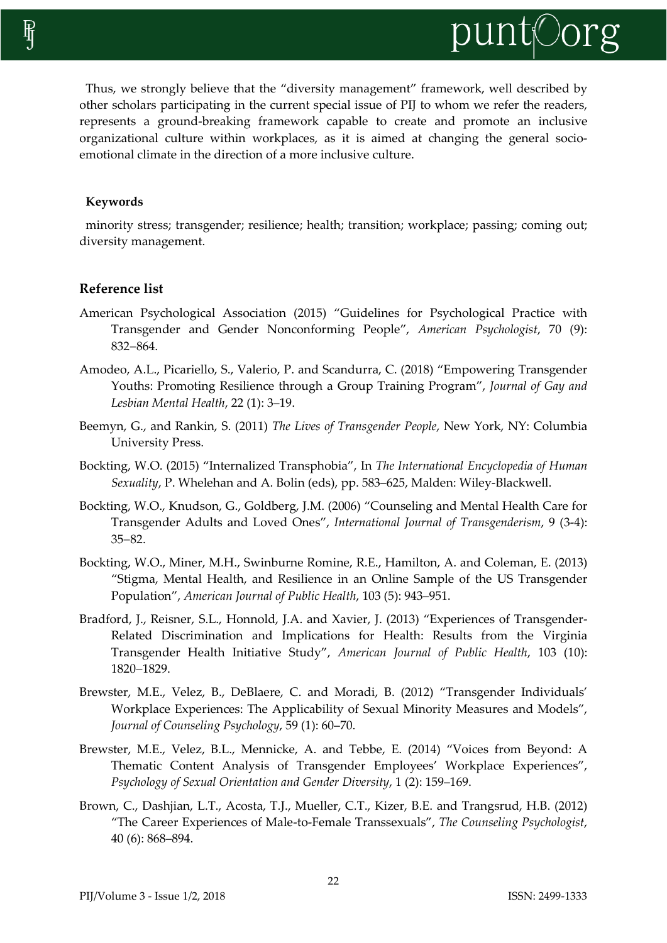

Thus, we strongly believe that the "diversity management" framework, well described by other scholars participating in the current special issue of PIJ to whom we refer the readers, represents a ground-breaking framework capable to create and promote an inclusive organizational culture within workplaces, as it is aimed at changing the general socioemotional climate in the direction of a more inclusive culture.

## **Keywords**

minority stress; transgender; resilience; health; transition; workplace; passing; coming out; diversity management.

# **Reference list**

- American Psychological Association (2015) "Guidelines for Psychological Practice with Transgender and Gender Nonconforming People", *American Psychologist*, 70 (9): 832-864.
- Amodeo, A.L., Picariello, S., Valerio, P. and Scandurra, C. (2018) "Empowering Transgender Youths: Promoting Resilience through a Group Training Program", *Journal of Gay and Lesbian Mental Health*, 22 (1): 3–19.
- Beemyn, G., and Rankin, S. (2011) *The Lives of Transgender People*, New York, NY: Columbia University Press.
- Bockting, W.O. (2015) "Internalized Transphobia", In *The International Encyclopedia of Human Sexuality*, P. Whelehan and A. Bolin (eds), pp. 583–625, Malden: Wiley-Blackwell.
- Bockting, W.O., Knudson, G., Goldberg, J.M. (2006) "Counseling and Mental Health Care for Transgender Adults and Loved Ones", *International Journal of Transgenderism*, 9 (3-4):  $35 - 82$ .
- Bockting, W.O., Miner, M.H., Swinburne Romine, R.E., Hamilton, A. and Coleman, E. (2013) "Stigma, Mental Health, and Resilience in an Online Sample of the US Transgender Population", *American Journal of Public Health*, 103 (5): 943–951.
- Bradford, J., Reisner, S.L., Honnold, J.A. and Xavier, J. (2013) "Experiences of Transgender-Related Discrimination and Implications for Health: Results from the Virginia Transgender Health Initiative Study", *American Journal of Public Health*, 103 (10): 1820-1829.
- Brewster, M.E., Velez, B., DeBlaere, C. and Moradi, B. (2012) "Transgender Individuals' Workplace Experiences: The Applicability of Sexual Minority Measures and Models", *Journal of Counseling Psychology*, 59 (1): 60–70.
- Brewster, M.E., Velez, B.L., Mennicke, A. and Tebbe, E. (2014) "Voices from Beyond: A Thematic Content Analysis of Transgender Employees' Workplace Experiences", *Psychology of Sexual Orientation and Gender Diversity*, 1 (2): 159–169.
- Brown, C., Dashjian, L.T., Acosta, T.J., Mueller, C.T., Kizer, B.E. and Trangsrud, H.B. (2012) "The Career Experiences of Male-to-Female Transsexuals", *The Counseling Psychologist*, 40 (6): 868–894.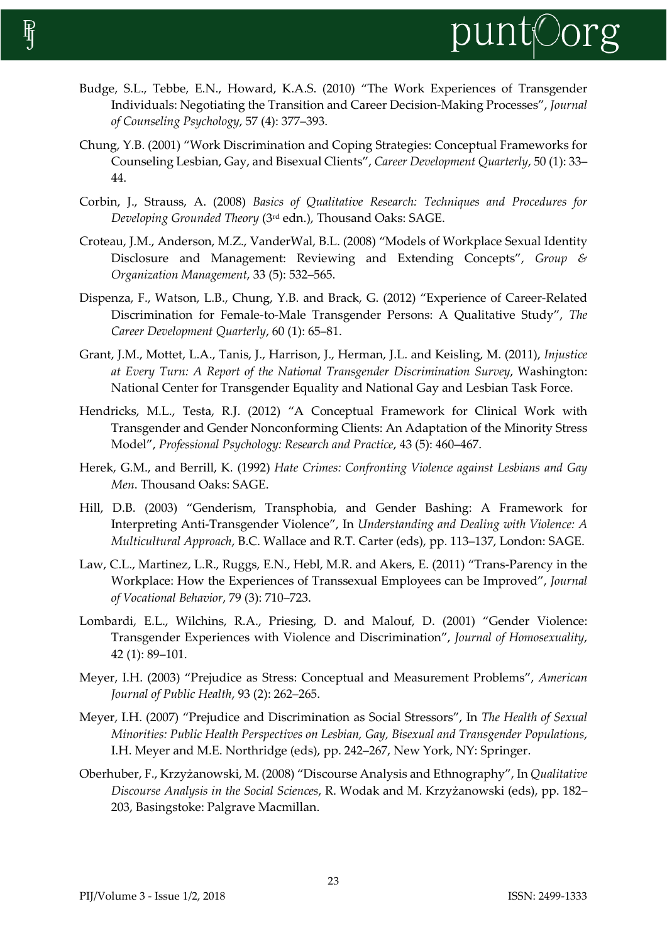

- Budge, S.L., Tebbe, E.N., Howard, K.A.S. (2010) "The Work Experiences of Transgender Individuals: Negotiating the Transition and Career Decision-Making Processes", *Journal of Counseling Psychology*, 57 (4): 377–393.
- Chung, Y.B. (2001) "Work Discrimination and Coping Strategies: Conceptual Frameworks for Counseling Lesbian, Gay, and Bisexual Clients", *Career Development Quarterly*, 50 (1): 33– 44.
- Corbin, J., Strauss, A. (2008) *Basics of Qualitative Research: Techniques and Procedures for Developing Grounded Theory* (3rd edn.), Thousand Oaks: SAGE.
- Croteau, J.M., Anderson, M.Z., VanderWal, B.L. (2008) "Models of Workplace Sexual Identity Disclosure and Management: Reviewing and Extending Concepts", *Group & Organization Management*, 33 (5): 532–565.
- Dispenza, F., Watson, L.B., Chung, Y.B. and Brack, G. (2012) "Experience of Career-Related Discrimination for Female-to-Male Transgender Persons: A Qualitative Study", *The Career Development Quarterly*, 60 (1): 65–81.
- Grant, J.M., Mottet, L.A., Tanis, J., Harrison, J., Herman, J.L. and Keisling, M. (2011), *Injustice at Every Turn: A Report of the National Transgender Discrimination Survey*, Washington: National Center for Transgender Equality and National Gay and Lesbian Task Force.
- Hendricks, M.L., Testa, R.J. (2012) "A Conceptual Framework for Clinical Work with Transgender and Gender Nonconforming Clients: An Adaptation of the Minority Stress Model", *Professional Psychology: Research and Practice*, 43 (5): 460–467.
- Herek, G.M., and Berrill, K. (1992) *Hate Crimes: Confronting Violence against Lesbians and Gay Men*. Thousand Oaks: SAGE.
- Hill, D.B. (2003) "Genderism, Transphobia, and Gender Bashing: A Framework for Interpreting Anti-Transgender Violence", In *Understanding and Dealing with Violence: A Multicultural Approach*, B.C. Wallace and R.T. Carter (eds), pp. 113–137, London: SAGE.
- Law, C.L., Martinez, L.R., Ruggs, E.N., Hebl, M.R. and Akers, E. (2011) "Trans-Parency in the Workplace: How the Experiences of Transsexual Employees can be Improved", *Journal of Vocational Behavior*, 79 (3): 710–723.
- Lombardi, E.L., Wilchins, R.A., Priesing, D. and Malouf, D. (2001) "Gender Violence: Transgender Experiences with Violence and Discrimination", *Journal of Homosexuality*, 42 (1): 89–101.
- Meyer, I.H. (2003) "Prejudice as Stress: Conceptual and Measurement Problems", *American Journal of Public Health*, 93 (2): 262–265.
- Meyer, I.H. (2007) "Prejudice and Discrimination as Social Stressors", In *The Health of Sexual Minorities: Public Health Perspectives on Lesbian, Gay, Bisexual and Transgender Populations*, I.H. Meyer and M.E. Northridge (eds), pp. 242–267, New York, NY: Springer.
- Oberhuber, F., Krzyżanowski, M. (2008) "Discourse Analysis and Ethnography", In *Qualitative Discourse Analysis in the Social Sciences*, R. Wodak and M. Krzyżanowski (eds), pp. 182– 203, Basingstoke: Palgrave Macmillan.